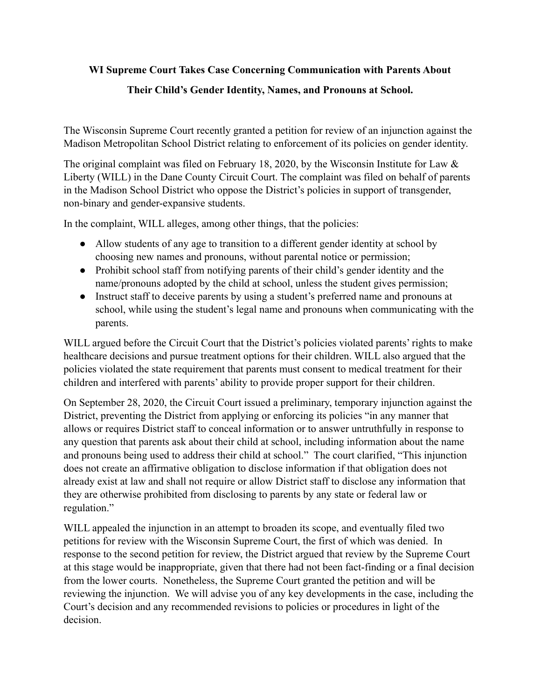## **WI Supreme Court Takes Case Concerning Communication with Parents About**

## **Their Child's Gender Identity, Names, and Pronouns at School.**

The Wisconsin Supreme Court recently granted a petition for review of an injunction against the Madison Metropolitan School District relating to enforcement of its policies on gender identity.

The original complaint was filed on February 18, 2020, by the Wisconsin Institute for Law & Liberty (WILL) in the Dane County Circuit Court. The complaint was filed on behalf of parents in the Madison School District who oppose the District's policies in support of transgender, non-binary and gender-expansive students.

In the complaint, WILL alleges, among other things, that the policies:

- Allow students of any age to transition to a different gender identity at school by choosing new names and pronouns, without parental notice or permission;
- Prohibit school staff from notifying parents of their child's gender identity and the name/pronouns adopted by the child at school, unless the student gives permission;
- Instruct staff to deceive parents by using a student's preferred name and pronouns at school, while using the student's legal name and pronouns when communicating with the parents.

WILL argued before the Circuit Court that the District's policies violated parents' rights to make healthcare decisions and pursue treatment options for their children. WILL also argued that the policies violated the state requirement that parents must consent to medical treatment for their children and interfered with parents' ability to provide proper support for their children.

On September 28, 2020, the Circuit Court issued a preliminary, temporary injunction against the District, preventing the District from applying or enforcing its policies "in any manner that allows or requires District staff to conceal information or to answer untruthfully in response to any question that parents ask about their child at school, including information about the name and pronouns being used to address their child at school." The court clarified, "This injunction does not create an affirmative obligation to disclose information if that obligation does not already exist at law and shall not require or allow District staff to disclose any information that they are otherwise prohibited from disclosing to parents by any state or federal law or regulation."

WILL appealed the injunction in an attempt to broaden its scope, and eventually filed two petitions for review with the Wisconsin Supreme Court, the first of which was denied. In response to the second petition for review, the District argued that review by the Supreme Court at this stage would be inappropriate, given that there had not been fact-finding or a final decision from the lower courts. Nonetheless, the Supreme Court granted the petition and will be reviewing the injunction. We will advise you of any key developments in the case, including the Court's decision and any recommended revisions to policies or procedures in light of the decision.